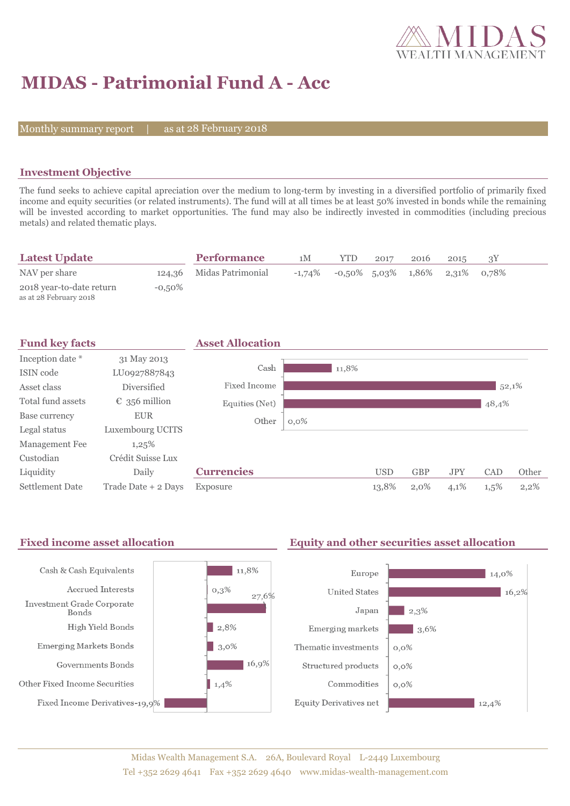

# **MIDAS - Patrimonial Fund A - Acc**

Monthly summary report

28 February 2018

### **Investment Objective**

The fund seeks to achieve capital apreciation over the medium to long-term by investing in a diversified portfolio of primarily fixed income and equity securities (or related instruments). The fund will at all times be at least 50% invested in bonds while the remaining will be invested according to market opportunities. The fund may also be indirectly invested in commodities (including precious metals) and related thematic plays.

| <b>Latest Update</b>                               |           | <b>Performance</b>       | 1М        | <b>YTD</b> | 2017 | 2016                  | 2015        |  |
|----------------------------------------------------|-----------|--------------------------|-----------|------------|------|-----------------------|-------------|--|
| NAV per share                                      |           | 124,36 Midas Patrimonial | $-1,74\%$ |            |      | $-0.50\%$ 5.03% 1.86% | 2,31% 0,78% |  |
| 2018 year-to-date return<br>as at 28 February 2018 | $-0.50\%$ |                          |           |            |      |                       |             |  |



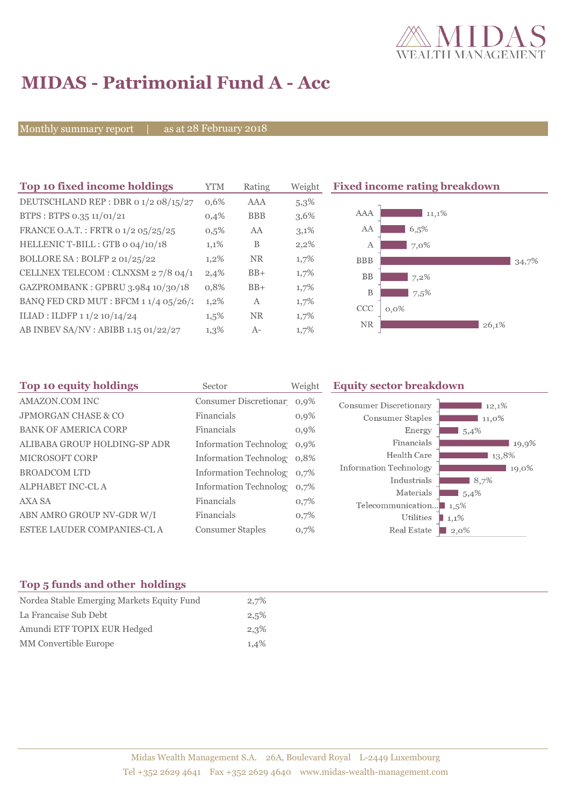

# **MIDAS - Patrimonial Fund A - Acc**

Monthly summary report | as at 28 February 2018

| Top 10 fixed income holdings           | <b>YTM</b> | Rating     | Weight  | <b>Fixed income rating breakdown</b> |
|----------------------------------------|------------|------------|---------|--------------------------------------|
| DEUTSCHLAND REP : DBR 0 1/2 08/15/27   | $0.6\%$    | AAA        | $5,3\%$ |                                      |
| BTPS: BTPS 0.35 11/01/21               | 0,4%       | <b>BBB</b> | 3,6%    | AAA<br>11,1%                         |
| FRANCE O.A.T.: FRTR 0 1/2 05/25/25     | 0,5%       | AA         | 3,1%    | AA<br>6,5%                           |
| HELLENIC T-BILL: GTB 0 04/10/18        | 1,1%       | B          | 2,2%    | 7,0%<br>A                            |
| BOLLORE SA : BOLFP 2 01/25/22          | $1,2\%$    | <b>NR</b>  | $1,7\%$ | <b>BBB</b><br>34,7%                  |
| CELLNEX TELECOM : CLNXSM 2 7/8 04/1    | 2,4%       | $BB+$      | 1,7%    | BB<br>$7,2\%$                        |
| GAZPROMBANK: GPBRU 3.984 10/30/18      | 0,8%       | $BB+$      | 1,7%    | B<br>7.5%                            |
| BANQ FED CRD MUT : BFCM $11/4$ 05/26/2 | $1,2\%$    | A          | 1,7%    | <b>CCC</b><br>$0.0\%$                |
| ILIAD : ILDFP 1 1/2 10/14/24           | $1,5\%$    | <b>NR</b>  | 1,7%    |                                      |
| AB INBEV SA/NV : ABIBB 1.15 01/22/27   | $1,3\%$    | $A-$       | $1,7\%$ | <b>NR</b><br>26,1%                   |

| Sector                  | Weight  | <b>Equity sector breakdown</b>                                                                                                                     |  |  |  |
|-------------------------|---------|----------------------------------------------------------------------------------------------------------------------------------------------------|--|--|--|
|                         |         | <b>Consumer Discretionary</b><br>12,1%                                                                                                             |  |  |  |
| Financials              | $0,9\%$ | Consumer Staples<br>11,0%                                                                                                                          |  |  |  |
| Financials              | $0.9\%$ | Energy<br>1,5,4%                                                                                                                                   |  |  |  |
|                         |         | Financials<br>19,9%                                                                                                                                |  |  |  |
|                         |         | Health Care<br>13,8%                                                                                                                               |  |  |  |
|                         |         | <b>Information Technology</b><br>19,0%                                                                                                             |  |  |  |
|                         |         | Industrials<br>8,7%                                                                                                                                |  |  |  |
| Financials              | 0,7%    | Materials<br>5,4%<br>Telecommunication $\blacksquare$ 1,5%                                                                                         |  |  |  |
| Financials              | 0,7%    | Utilities<br>1,1%                                                                                                                                  |  |  |  |
| <b>Consumer Staples</b> | 0,7%    | Real Estate<br>$\Box$ 2.0%                                                                                                                         |  |  |  |
|                         |         | Consumer Discretionar 0,9%<br>Information Technolog 0,9%<br>Information Technolog 0,8%<br>Information Technolog 0,7%<br>Information Technolog 0.7% |  |  |  |

### **Top 5 funds and other holdings**

| 2,7% |
|------|
| 2,5% |
| 2,3% |
| 1,4% |
|      |